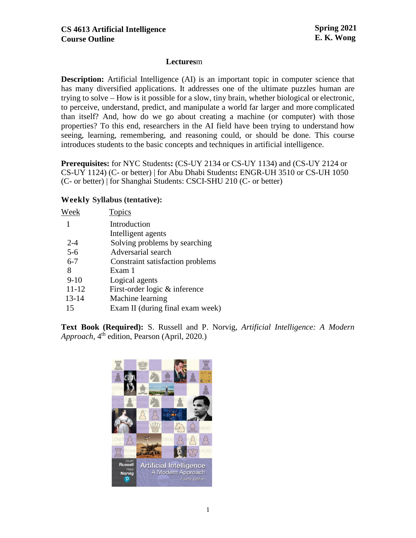## **Lectures**m

**Description:** Artificial Intelligence (AI) is an important topic in computer science that has many diversified applications. It addresses one of the ultimate puzzles human are trying to solve – How is it possible for a slow, tiny brain, whether biological or electronic, to perceive, understand, predict, and manipulate a world far larger and more complicated than itself? And, how do we go about creating a machine (or computer) with those properties? To this end, researchers in the AI field have been trying to understand how seeing, learning, remembering, and reasoning could, or should be done. This course introduces students to the basic concepts and techniques in artificial intelligence.

**Prerequisites:** for NYC Students**:** (CS-UY 2134 or CS-UY 1134) and (CS-UY 2124 or CS-UY 1124) (C- or better) | for Abu Dhabi Students**:** ENGR-UH 3510 or CS-UH 1050 (C- or better) | for Shanghai Students: CSCI-SHU 210 (C- or better)

## **Weekly Syllabus (tentative):**

| Week    | Topics                           |
|---------|----------------------------------|
|         | Introduction                     |
|         | Intelligent agents               |
| $2 - 4$ | Solving problems by searching    |
| $5 - 6$ | Adversarial search               |
| $6 - 7$ | Constraint satisfaction problems |
| 8       | Exam 1                           |
| $9-10$  | Logical agents                   |
| 11-12   | First-order logic & inference    |
| 13-14   | Machine learning                 |
| 15      | Exam II (during final exam week) |
|         |                                  |

**Text Book (Required):** S. Russell and P. Norvig, *Artificial Intelligence: A Modern Approach*, 4<sup>th</sup> edition, Pearson (April, 2020.)